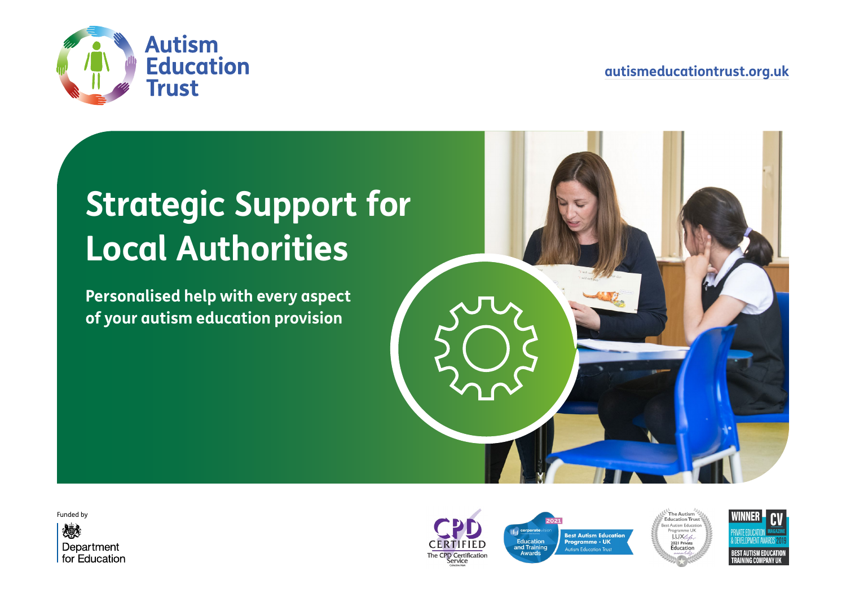



# **Strategic Support for Local Authorities**

**Personalised help with every aspect of your autism education provision**



Funded by







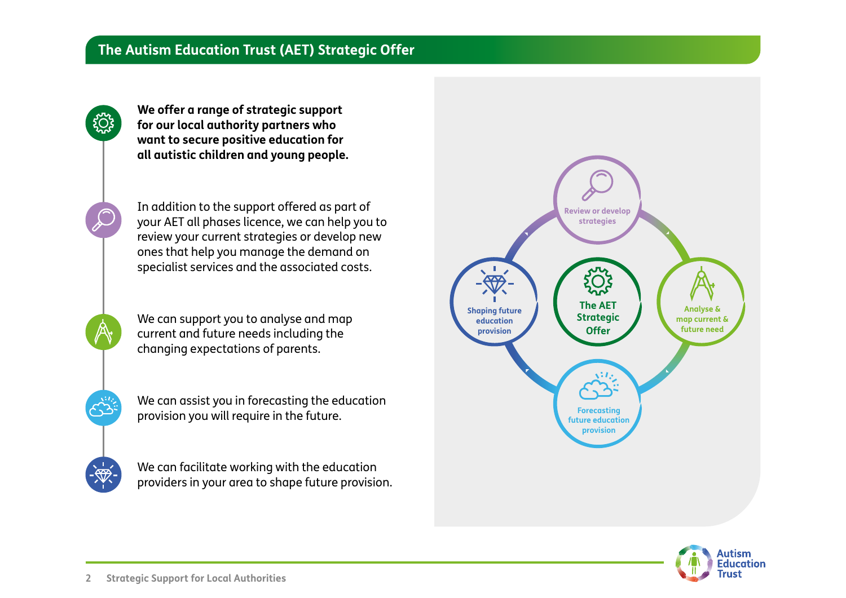

In addition to the support offered as part of your AET all phases licence, we can help you to review your current strategies or develop new ones that help you manage the demand on specialist services and the associated costs.

We can support you to analyse and map current and future needs including the changing expectations of parents.

We can assist you in forecasting the education provision you will require in the future.

We can facilitate working with the education providers in your area to shape future provision.



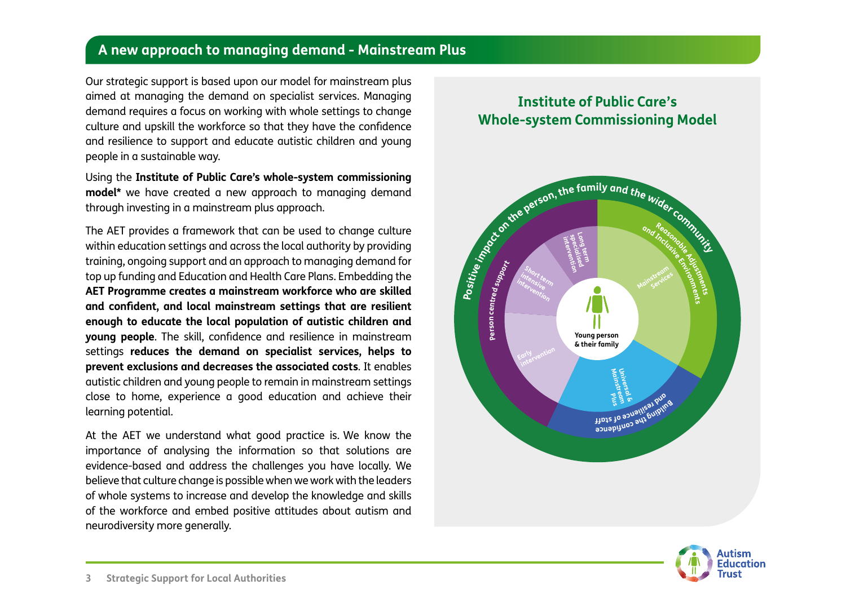#### **A new approach to managing demand - Mainstream Plus**

Our strategic support is based upon our model for mainstream plus aimed at managing the demand on specialist services. Managing demand requires a focus on working with whole settings to change culture and upskill the workforce so that they have the confidence and resilience to support and educate autistic children and young people in a sustainable way.

Using the **Institute of Public Care's whole-system commissioning model\*** we have created a new approach to managing demand through investing in a mainstream plus approach.

The AET provides a framework that can be used to change culture within education settings and across the local authority by providing training, ongoing support and an approach to managing demand for top up funding and Education and Health Care Plans. Embedding the **AET Programme creates a mainstream workforce who are skilled and confdent, and local mainstream settings that are resilient enough to educate the local population of autistic children and young people**. The skill, confidence and resilience in mainstream settings **reduces the demand on specialist services, helps to prevent exclusions and decreases the associated costs**. It enables autistic children and young people to remain in mainstream settings close to home, experience a good education and achieve their learning potential.

At the AET we understand what good practice is. We know the importance of analysing the information so that solutions are evidence-based and address the challenges you have locally. We believe that culture change is possible when we work with the leaders of whole systems to increase and develop the knowledge and skills of the workforce and embed positive attitudes about autism and neurodiversity more generally.

## **Institute of Public Care's Whole-system Commissioning Model**



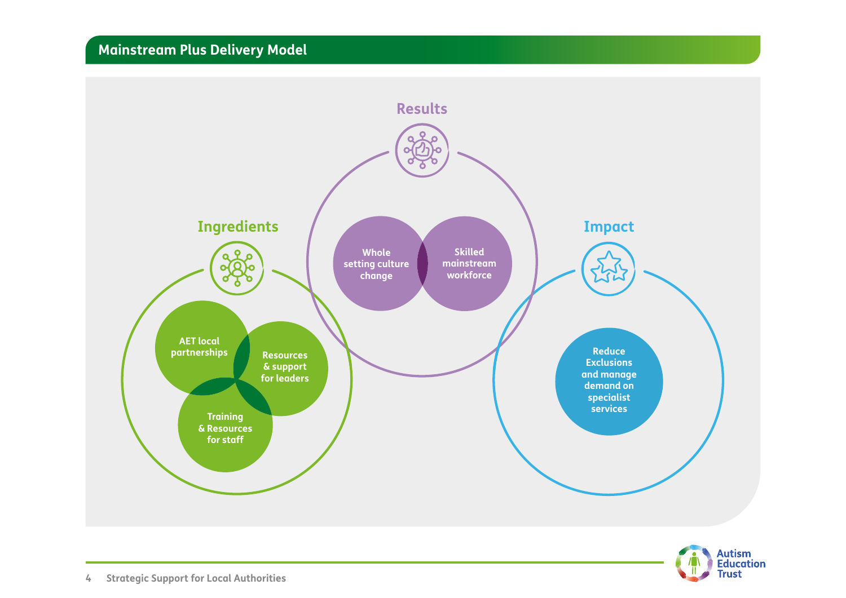## **Mainstream Plus Delivery Model**